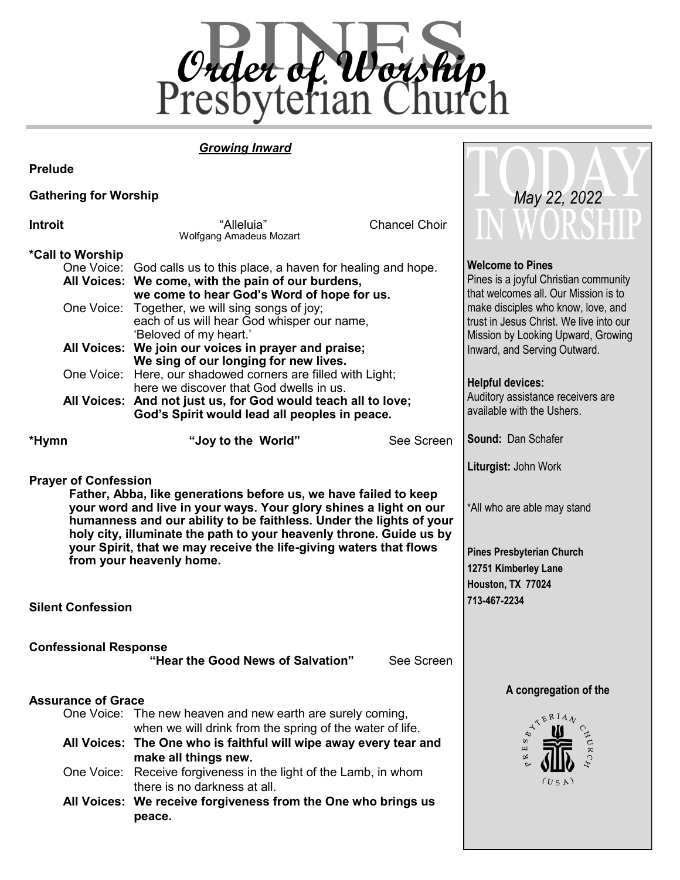

 *May 22, 2022*

### *Growing Inward*

**Prelude**

### **Gathering for Worship**

| Introit                                                                                                                                                                                                                                                                                                                                                                                                                                          | "Alleluia"<br>Wolfgang Amadeus Mozart                                                                                                                                                                                                                                                                                                                                                                                                                                                                | <b>Chancel Choir</b>                                                                                                                                                                                                                                                                                                            |                    |
|--------------------------------------------------------------------------------------------------------------------------------------------------------------------------------------------------------------------------------------------------------------------------------------------------------------------------------------------------------------------------------------------------------------------------------------------------|------------------------------------------------------------------------------------------------------------------------------------------------------------------------------------------------------------------------------------------------------------------------------------------------------------------------------------------------------------------------------------------------------------------------------------------------------------------------------------------------------|---------------------------------------------------------------------------------------------------------------------------------------------------------------------------------------------------------------------------------------------------------------------------------------------------------------------------------|--------------------|
| *Call to Worship<br>One Voice:                                                                                                                                                                                                                                                                                                                                                                                                                   | One Voice: God calls us to this place, a haven for healing and hope.<br>All Voices: We come, with the pain of our burdens,<br>we come to hear God's Word of hope for us.<br>Together, we will sing songs of joy;<br>each of us will hear God whisper our name,<br>'Beloved of my heart.'<br>All Voices: We join our voices in prayer and praise;<br>We sing of our longing for new lives.<br>One Voice: Here, our shadowed corners are filled with Light;<br>here we discover that God dwells in us. | <b>Welcome to Pines</b><br>Pines is a joyful Christian community<br>that welcomes all. Our Mission is to<br>make disciples who know, love, and<br>trust in Jesus Christ. We live into our<br>Mission by Looking Upward, Growing<br>Inward, and Serving Outward.<br><b>Helpful devices:</b><br>Auditory assistance receivers are |                    |
|                                                                                                                                                                                                                                                                                                                                                                                                                                                  | All Voices: And not just us, for God would teach all to love;<br>God's Spirit would lead all peoples in peace.                                                                                                                                                                                                                                                                                                                                                                                       | available with the Ushers.                                                                                                                                                                                                                                                                                                      |                    |
| *Hymn                                                                                                                                                                                                                                                                                                                                                                                                                                            | "Joy to the World"                                                                                                                                                                                                                                                                                                                                                                                                                                                                                   | See Screen                                                                                                                                                                                                                                                                                                                      | Sound: Dan Schafer |
| <b>Prayer of Confession</b><br>Father, Abba, like generations before us, we have failed to keep<br>your word and live in your ways. Your glory shines a light on our<br>humanness and our ability to be faithless. Under the lights of your<br>holy city, illuminate the path to your heavenly throne. Guide us by<br>your Spirit, that we may receive the life-giving waters that flows<br>from your heavenly home.<br><b>Silent Confession</b> | Liturgist: John Work<br>*All who are able may stand<br><b>Pines Presbyterian Church</b><br>12751 Kimberley Lane<br>Houston, TX 77024<br>713-467-2234                                                                                                                                                                                                                                                                                                                                                 |                                                                                                                                                                                                                                                                                                                                 |                    |
| <b>Confessional Response</b>                                                                                                                                                                                                                                                                                                                                                                                                                     |                                                                                                                                                                                                                                                                                                                                                                                                                                                                                                      |                                                                                                                                                                                                                                                                                                                                 |                    |
| <b>Assurance of Grace</b>                                                                                                                                                                                                                                                                                                                                                                                                                        | One Voice: The new heaven and new earth are surely coming,<br>when we will drink from the spring of the water of life.<br>All Voices: The One who is faithful will wipe away every tear and<br>make all things new.<br>One Voice: Receive forgiveness in the light of the Lamb, in whom<br>there is no darkness at all.<br>All Voices: We receive forgiveness from the One who brings us<br>peace.                                                                                                   | A congregation of the<br><b>KERIAN</b><br>Щ<br>以<br>(USA)                                                                                                                                                                                                                                                                       |                    |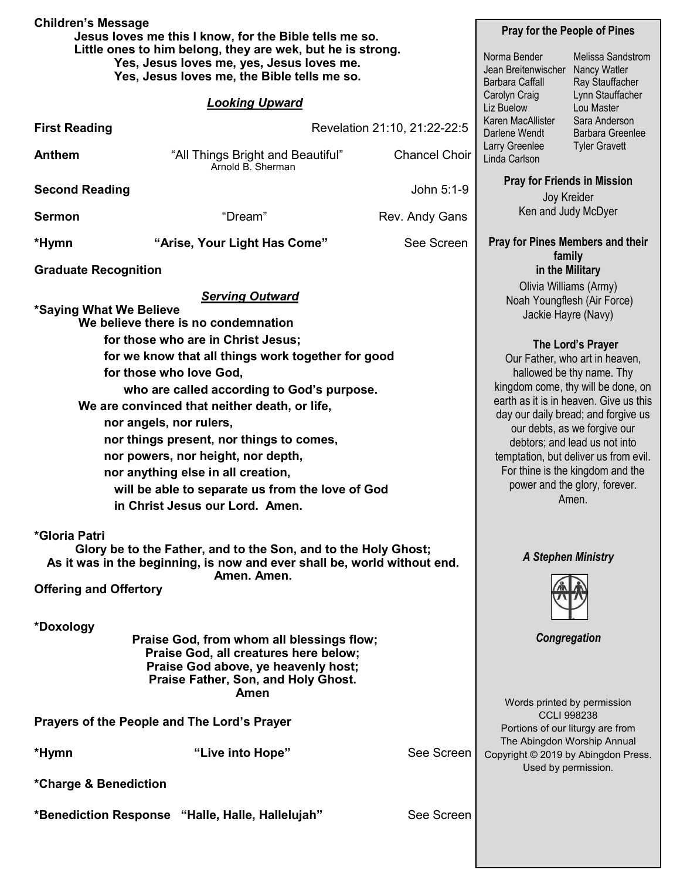| <b>Children's Message</b><br>Jesus loves me this I know, for the Bible tells me so. |                                                                                    |                                                               | <b>Pray for the People of Pines</b>                                                                                                                                                                                                                                                                                                                   |                                  |  |  |  |
|-------------------------------------------------------------------------------------|------------------------------------------------------------------------------------|---------------------------------------------------------------|-------------------------------------------------------------------------------------------------------------------------------------------------------------------------------------------------------------------------------------------------------------------------------------------------------------------------------------------------------|----------------------------------|--|--|--|
|                                                                                     | Little ones to him belong, they are wek, but he is strong.                         |                                                               |                                                                                                                                                                                                                                                                                                                                                       |                                  |  |  |  |
|                                                                                     | Yes, Jesus loves me, yes, Jesus loves me.                                          |                                                               | Norma Bender                                                                                                                                                                                                                                                                                                                                          | Melissa Sandstrom                |  |  |  |
| Yes, Jesus loves me, the Bible tells me so.                                         |                                                                                    | Jean Breitenwischer<br><b>Nancy Watler</b><br>Barbara Caffall | Ray Stauffacher                                                                                                                                                                                                                                                                                                                                       |                                  |  |  |  |
|                                                                                     |                                                                                    |                                                               | Carolyn Craig                                                                                                                                                                                                                                                                                                                                         | Lynn Stauffacher                 |  |  |  |
|                                                                                     | <b>Looking Upward</b>                                                              |                                                               | Liz Buelow                                                                                                                                                                                                                                                                                                                                            | Lou Master                       |  |  |  |
| <b>First Reading</b>                                                                |                                                                                    | Revelation 21:10, 21:22-22:5                                  | Karen MacAllister                                                                                                                                                                                                                                                                                                                                     | Sara Anderson                    |  |  |  |
|                                                                                     |                                                                                    |                                                               | Darlene Wendt<br><b>Barbara Greenlee</b><br>Larry Greenlee                                                                                                                                                                                                                                                                                            |                                  |  |  |  |
| <b>Anthem</b>                                                                       | "All Things Bright and Beautiful"<br>Arnold B. Sherman                             | <b>Chancel Choir</b>                                          | Linda Carlson                                                                                                                                                                                                                                                                                                                                         | <b>Tyler Gravett</b>             |  |  |  |
|                                                                                     |                                                                                    | <b>Pray for Friends in Mission</b>                            |                                                                                                                                                                                                                                                                                                                                                       |                                  |  |  |  |
| <b>Second Reading</b>                                                               |                                                                                    | John 5:1-9                                                    | Joy Kreider<br>Ken and Judy McDyer                                                                                                                                                                                                                                                                                                                    |                                  |  |  |  |
| <b>Sermon</b>                                                                       | "Dream"                                                                            | Rev. Andy Gans                                                |                                                                                                                                                                                                                                                                                                                                                       |                                  |  |  |  |
|                                                                                     |                                                                                    |                                                               |                                                                                                                                                                                                                                                                                                                                                       |                                  |  |  |  |
| *Hymn                                                                               | "Arise, Your Light Has Come"                                                       | See Screen                                                    |                                                                                                                                                                                                                                                                                                                                                       | Pray for Pines Members and their |  |  |  |
| <b>Graduate Recognition</b>                                                         |                                                                                    |                                                               | family<br>in the Military                                                                                                                                                                                                                                                                                                                             |                                  |  |  |  |
|                                                                                     |                                                                                    |                                                               | Olivia Williams (Army)                                                                                                                                                                                                                                                                                                                                |                                  |  |  |  |
|                                                                                     | <b>Serving Outward</b>                                                             |                                                               | Noah Youngflesh (Air Force)                                                                                                                                                                                                                                                                                                                           |                                  |  |  |  |
| *Saying What We Believe                                                             |                                                                                    |                                                               | Jackie Hayre (Navy)                                                                                                                                                                                                                                                                                                                                   |                                  |  |  |  |
|                                                                                     | We believe there is no condemnation                                                |                                                               |                                                                                                                                                                                                                                                                                                                                                       |                                  |  |  |  |
|                                                                                     | for those who are in Christ Jesus;                                                 |                                                               | The Lord's Prayer<br>Our Father, who art in heaven,<br>hallowed be thy name. Thy<br>kingdom come, thy will be done, on<br>earth as it is in heaven. Give us this<br>day our daily bread; and forgive us<br>our debts, as we forgive our<br>debtors; and lead us not into<br>temptation, but deliver us from evil.<br>For thine is the kingdom and the |                                  |  |  |  |
|                                                                                     | for we know that all things work together for good                                 |                                                               |                                                                                                                                                                                                                                                                                                                                                       |                                  |  |  |  |
|                                                                                     | for those who love God,                                                            |                                                               |                                                                                                                                                                                                                                                                                                                                                       |                                  |  |  |  |
|                                                                                     | who are called according to God's purpose.                                         |                                                               |                                                                                                                                                                                                                                                                                                                                                       |                                  |  |  |  |
|                                                                                     | We are convinced that neither death, or life,                                      |                                                               |                                                                                                                                                                                                                                                                                                                                                       |                                  |  |  |  |
|                                                                                     | nor angels, nor rulers,                                                            |                                                               |                                                                                                                                                                                                                                                                                                                                                       |                                  |  |  |  |
|                                                                                     | nor things present, nor things to comes,                                           |                                                               |                                                                                                                                                                                                                                                                                                                                                       |                                  |  |  |  |
|                                                                                     | nor powers, nor height, nor depth,                                                 |                                                               |                                                                                                                                                                                                                                                                                                                                                       |                                  |  |  |  |
|                                                                                     | nor anything else in all creation,                                                 |                                                               |                                                                                                                                                                                                                                                                                                                                                       |                                  |  |  |  |
|                                                                                     | will be able to separate us from the love of God                                   |                                                               |                                                                                                                                                                                                                                                                                                                                                       | power and the glory, forever.    |  |  |  |
|                                                                                     | in Christ Jesus our Lord. Amen.                                                    |                                                               |                                                                                                                                                                                                                                                                                                                                                       | Amen.                            |  |  |  |
|                                                                                     |                                                                                    |                                                               |                                                                                                                                                                                                                                                                                                                                                       |                                  |  |  |  |
| *Gloria Patri                                                                       |                                                                                    |                                                               |                                                                                                                                                                                                                                                                                                                                                       |                                  |  |  |  |
|                                                                                     | Glory be to the Father, and to the Son, and to the Holy Ghost;                     |                                                               |                                                                                                                                                                                                                                                                                                                                                       | <b>A Stephen Ministry</b>        |  |  |  |
|                                                                                     | As it was in the beginning, is now and ever shall be, world without end.           |                                                               |                                                                                                                                                                                                                                                                                                                                                       |                                  |  |  |  |
| <b>Offering and Offertory</b>                                                       | Amen. Amen.                                                                        |                                                               |                                                                                                                                                                                                                                                                                                                                                       |                                  |  |  |  |
|                                                                                     |                                                                                    |                                                               |                                                                                                                                                                                                                                                                                                                                                       |                                  |  |  |  |
|                                                                                     |                                                                                    |                                                               |                                                                                                                                                                                                                                                                                                                                                       |                                  |  |  |  |
| *Doxology                                                                           |                                                                                    |                                                               |                                                                                                                                                                                                                                                                                                                                                       |                                  |  |  |  |
|                                                                                     | Praise God, from whom all blessings flow;<br>Praise God, all creatures here below; |                                                               | Congregation                                                                                                                                                                                                                                                                                                                                          |                                  |  |  |  |
|                                                                                     | Praise God above, ye heavenly host;                                                |                                                               |                                                                                                                                                                                                                                                                                                                                                       |                                  |  |  |  |
|                                                                                     | Praise Father, Son, and Holy Ghost.                                                |                                                               |                                                                                                                                                                                                                                                                                                                                                       |                                  |  |  |  |
|                                                                                     | Amen                                                                               |                                                               |                                                                                                                                                                                                                                                                                                                                                       |                                  |  |  |  |
|                                                                                     | Words printed by permission<br><b>CCLI 998238</b>                                  |                                                               |                                                                                                                                                                                                                                                                                                                                                       |                                  |  |  |  |
| Prayers of the People and The Lord's Prayer                                         |                                                                                    |                                                               |                                                                                                                                                                                                                                                                                                                                                       | Portions of our liturgy are from |  |  |  |
|                                                                                     |                                                                                    |                                                               |                                                                                                                                                                                                                                                                                                                                                       | The Abingdon Worship Annual      |  |  |  |
| *Hymn                                                                               | "Live into Hope"                                                                   | See Screen                                                    | Copyright © 2019 by Abingdon Press.                                                                                                                                                                                                                                                                                                                   |                                  |  |  |  |
|                                                                                     |                                                                                    |                                                               | Used by permission.                                                                                                                                                                                                                                                                                                                                   |                                  |  |  |  |
| *Charge & Benediction                                                               |                                                                                    |                                                               |                                                                                                                                                                                                                                                                                                                                                       |                                  |  |  |  |
|                                                                                     | *Benediction Response "Halle, Halle, Hallelujah"                                   | See Screen                                                    |                                                                                                                                                                                                                                                                                                                                                       |                                  |  |  |  |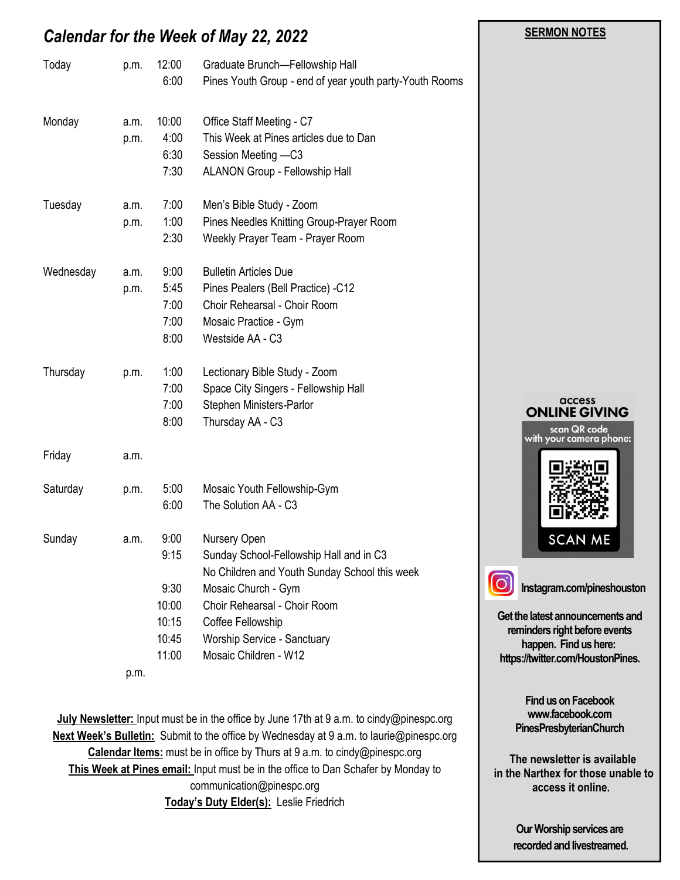# *Calendar for the Week of May 22, 2022*

| Today     | p.m.         | 12:00<br>6:00                                            | Graduate Brunch-Fellowship Hall<br>Pines Youth Group - end of year youth party-Youth Rooms                                                                                                                                                   |                                                                                                                                            |
|-----------|--------------|----------------------------------------------------------|----------------------------------------------------------------------------------------------------------------------------------------------------------------------------------------------------------------------------------------------|--------------------------------------------------------------------------------------------------------------------------------------------|
| Monday    | a.m.<br>p.m. | 10:00<br>4:00<br>6:30<br>7:30                            | Office Staff Meeting - C7<br>This Week at Pines articles due to Dan<br>Session Meeting -C3<br>ALANON Group - Fellowship Hall                                                                                                                 |                                                                                                                                            |
| Tuesday   | a.m.<br>p.m. | 7:00<br>1:00<br>2:30                                     | Men's Bible Study - Zoom<br>Pines Needles Knitting Group-Prayer Room<br>Weekly Prayer Team - Prayer Room                                                                                                                                     |                                                                                                                                            |
| Wednesday | a.m.<br>p.m. | 9:00<br>5:45<br>7:00<br>7:00<br>8:00                     | <b>Bulletin Articles Due</b><br>Pines Pealers (Bell Practice) -C12<br>Choir Rehearsal - Choir Room<br>Mosaic Practice - Gym<br>Westside AA - C3                                                                                              |                                                                                                                                            |
| Thursday  | p.m.         | 1:00<br>7:00<br>7:00<br>8:00                             | Lectionary Bible Study - Zoom<br>Space City Singers - Fellowship Hall<br>Stephen Ministers-Parlor<br>Thursday AA - C3                                                                                                                        | access<br><b>ONLINE GIVING</b><br>scan QR code                                                                                             |
| Friday    | a.m.         |                                                          |                                                                                                                                                                                                                                              | with your camera phone:                                                                                                                    |
| Saturday  | p.m.         | 5:00<br>6:00                                             | Mosaic Youth Fellowship-Gym<br>The Solution AA - C3                                                                                                                                                                                          |                                                                                                                                            |
| Sunday    | a.m.         | 9:00<br>9:15<br>9:30<br>10:00<br>10:15<br>10:45<br>11:00 | Nursery Open<br>Sunday School-Fellowship Hall and in C3<br>No Children and Youth Sunday School this week<br>Mosaic Church - Gym<br>Choir Rehearsal - Choir Room<br>Coffee Fellowship<br>Worship Service - Sanctuary<br>Mosaic Children - W12 | <b>SCAN ME</b><br>Instagram.com/pineshouston<br>Get the latest announcements and<br>reminders right before events<br>happen. Find us here: |
|           | p.m.         |                                                          |                                                                                                                                                                                                                                              | https://twitter.com/HoustonPines.                                                                                                          |

**July Newsletter:** Input must be in the office by June 17th at 9 a.m. to cindy@pinespc.org **Next Week's Bulletin:** Submit to the office by Wednesday at 9 a.m. to laurie@pinespc.org **Calendar Items:** must be in office by Thurs at 9 a.m. to cindy@pinespc.org **This Week at Pines email:** Input must be in the office to Dan Schafer by Monday to communication@pinespc.org **Today's Duty Elder(s):** Leslie Friedrich

**Our Worship services are**

**Find us on Facebook www.facebook.com PinesPresbyterianChurch**

 **The newsletter is available in the Narthex for those unable to access it online.**

 **SERMON NOTES** 

**recorded and livestreamed.**